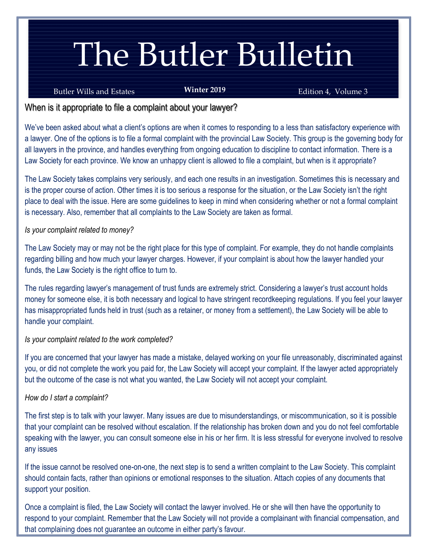# The Butler Bulletin

#### Butler Wills and Estates **Edition 4, Volume 3 Edition 4, Volume 3**

**Winter 2019**

## When is it appropriate to file a complaint about your lawyer?

We've been asked about what a client's options are when it comes to responding to a less than satisfactory experience with a lawyer. One of the options is to file a formal complaint with the provincial Law Society. This group is the governing body for all lawyers in the province, and handles everything from ongoing education to discipline to contact information. There is a Law Society for each province. We know an unhappy client is allowed to file a complaint, but when is it appropriate?

The Law Society takes complains very seriously, and each one results in an investigation. Sometimes this is necessary and is the proper course of action. Other times it is too serious a response for the situation, or the Law Society isn't the right place to deal with the issue. Here are some guidelines to keep in mind when considering whether or not a formal complaint is necessary. Also, remember that all complaints to the Law Society are taken as formal.

#### *Is your complaint related to money?*

The Law Society may or may not be the right place for this type of complaint. For example, they do not handle complaints regarding billing and how much your lawyer charges. However, if your complaint is about how the lawyer handled your funds, the Law Society is the right office to turn to.

The rules regarding lawyer's management of trust funds are extremely strict. Considering a lawyer's trust account holds money for someone else, it is both necessary and logical to have stringent recordkeeping regulations. If you feel your lawyer has misappropriated funds held in trust (such as a retainer, or money from a settlement), the Law Society will be able to handle your complaint.

### *Is your complaint related to the work completed?*

If you are concerned that your lawyer has made a mistake, delayed working on your file unreasonably, discriminated against you, or did not complete the work you paid for, the Law Society will accept your complaint. If the lawyer acted appropriately but the outcome of the case is not what you wanted, the Law Society will not accept your complaint.

### *How do I start a complaint?*

The first step is to talk with your lawyer. Many issues are due to misunderstandings, or miscommunication, so it is possible that your complaint can be resolved without escalation. If the relationship has broken down and you do not feel comfortable speaking with the lawyer, you can consult someone else in his or her firm. It is less stressful for everyone involved to resolve any issues

If the issue cannot be resolved one-on-one, the next step is to send a written complaint to the Law Society. This complaint should contain facts, rather than opinions or emotional responses to the situation. Attach copies of any documents that support your position.

Once a complaint is filed, the Law Society will contact the lawyer involved. He or she will then have the opportunity to respond to your complaint. Remember that the Law Society will not provide a complainant with financial compensation, and that complaining does not guarantee an outcome in either party's favour.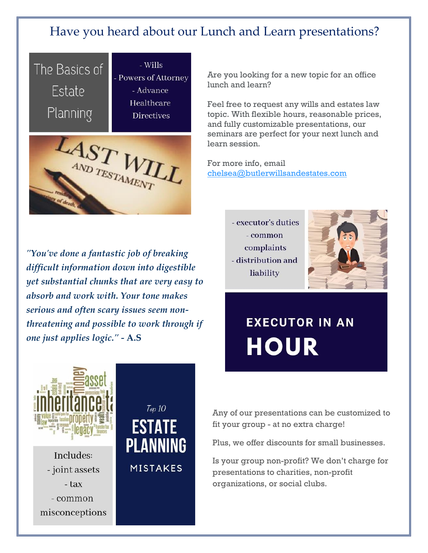# Have you heard about our Lunch and Learn presentations?



Are you looking for a new topic for an office lunch and learn?

Feel free to request any wills and estates law topic. With flexible hours, reasonable prices, and fully customizable presentations, our seminars are perfect for your next lunch and learn session.

For more info, email [chelsea@butlerwillsandestates.com](mailto:chelsea@butlerwillsandestates.com)

*"You've done a fantastic job of breaking difficult information down into digestible yet substantial chunks that are very easy to absorb and work with. Your tone makes serious and often scary issues seem nonthreatening and possible to work through if one just applies logic." -* **A.S**





# **EXECUTOR IN AN HOUR**



Includes: - joint assets - tax - common misconceptions

# Тор 10 **ESTATE PLANNING MISTAKES**

Any of our presentations can be customized to fit your group - at no extra charge!

Plus, we offer discounts for small businesses.

Is your group non-profit? We don't charge for presentations to charities, non-profit organizations, or social clubs.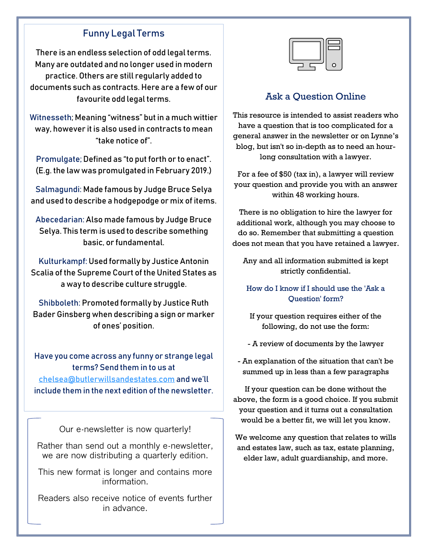# Funny Legal Terms

There is an endless selection of odd legal terms. Many are outdated and no longer used in modern practice. Others are still regularly added to documents such as contracts. Here are a few of our favourite odd legal terms.

Witnesseth; Meaning "witness" but in a much wittier way, however it is also used in contracts to mean "take notice of".

Promulgate; Defined as "to put forth or to enact". (E.g. the law was promulgated in February 2019.)

Salmagundi: Made famous by Judge Bruce Selya and used to describe a hodgepodge or mix of items.

Abecedarian: Also made famous by Judge Bruce Selya. This term is used to describe something basic, or fundamental.

Kulturkampf: Used formally by Justice Antonin Scalia of the Supreme Court of the United States as a way to describe culture struggle.

Shibboleth: Promoted formally by Justice Ruth Bader Ginsberg when describing a sign or marker of ones' position.

Have you come across any funny or strange legal terms? Send them in to us at [chelsea@butlerwillsandestates.com](mailto:chelsea@butlerwillsandestates.com) and we'll include them in the next edition of the newsletter.

Our e-newsletter is now quarterly!

Rather than send out a monthly e-newsletter, we are now distributing a quarterly edition.

This new format is longer and contains more information.

Readers also receive notice of events further in advance.



# Ask a Question Online

This resource is intended to assist readers who have a question that is too complicated for a general answer in the newsletter or on Lynne's blog, but isn't so in-depth as to need an hourlong consultation with a lawyer.

For a fee of \$50 (tax in), a lawyer will review your question and provide you with an answer within 48 working hours.

There is no obligation to hire the lawyer for additional work, although you may choose to do so. Remember that submitting a question does not mean that you have retained a lawyer.

Any and all information submitted is kept strictly confidential.

[How do I know if I should use the 'Ask a](javascript:void(0);)  [Question' form?](javascript:void(0);)

If your question requires either of the following, do not use the form:

- A review of documents by the lawyer
- An explanation of the situation that can't be summed up in less than a few paragraphs

If your question can be done without the above, the form is a good choice. If you submit your question and it turns out a consultation would be a better fit, we will let you know.

We welcome any question that relates to wills and estates law, such as tax, estate planning, elder law, adult guardianship, and more.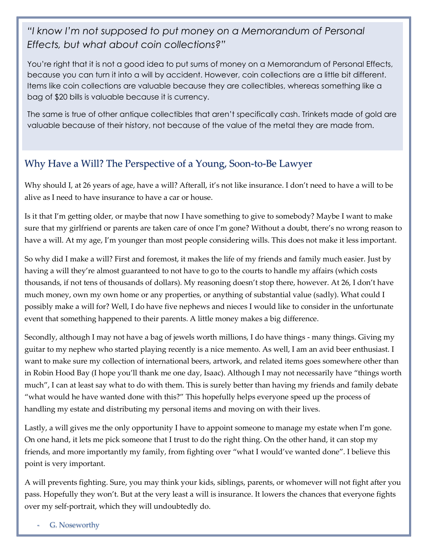# *"I know I'm not supposed to put money on a Memorandum of Personal Effects, but what about coin collections?"*

You're right that it is not a good idea to put sums of money on a Memorandum of Personal Effects, because you can turn it into a will by accident. However, coin collections are a little bit different. Items like coin collections are valuable because they are collectibles, whereas something like a bag of \$20 bills is valuable because it is currency.

The same is true of other antique collectibles that aren't specifically cash. Trinkets made of gold are valuable because of their history, not because of the value of the metal they are made from.

# Why Have a Will? The Perspective of a Young, Soon-to-Be Lawyer

Why should I, at 26 years of age, have a will? Afterall, it's not like insurance. I don't need to have a will to be alive as I need to have insurance to have a car or house.

Is it that I'm getting older, or maybe that now I have something to give to somebody? Maybe I want to make sure that my girlfriend or parents are taken care of once I'm gone? Without a doubt, there's no wrong reason to have a will. At my age, I'm younger than most people considering wills. This does not make it less important.

So why did I make a will? First and foremost, it makes the life of my friends and family much easier. Just by having a will they're almost guaranteed to not have to go to the courts to handle my affairs (which costs thousands, if not tens of thousands of dollars). My reasoning doesn't stop there, however. At 26, I don't have much money, own my own home or any properties, or anything of substantial value (sadly). What could I possibly make a will for? Well, I do have five nephews and nieces I would like to consider in the unfortunate event that something happened to their parents. A little money makes a big difference.

Secondly, although I may not have a bag of jewels worth millions, I do have things - many things. Giving my guitar to my nephew who started playing recently is a nice memento. As well, I am an avid beer enthusiast. I want to make sure my collection of international beers, artwork, and related items goes somewhere other than in Robin Hood Bay (I hope you'll thank me one day, Isaac). Although I may not necessarily have "things worth much", I can at least say what to do with them. This is surely better than having my friends and family debate "what would he have wanted done with this?" This hopefully helps everyone speed up the process of handling my estate and distributing my personal items and moving on with their lives.

Lastly, a will gives me the only opportunity I have to appoint someone to manage my estate when I'm gone. On one hand, it lets me pick someone that I trust to do the right thing. On the other hand, it can stop my friends, and more importantly my family, from fighting over "what I would've wanted done". I believe this point is very important.

A will prevents fighting. Sure, you may think your kids, siblings, parents, or whomever will not fight after you pass. Hopefully they won't. But at the very least a will is insurance. It lowers the chances that everyone fights over my self-portrait, which they will undoubtedly do.

G. Noseworthy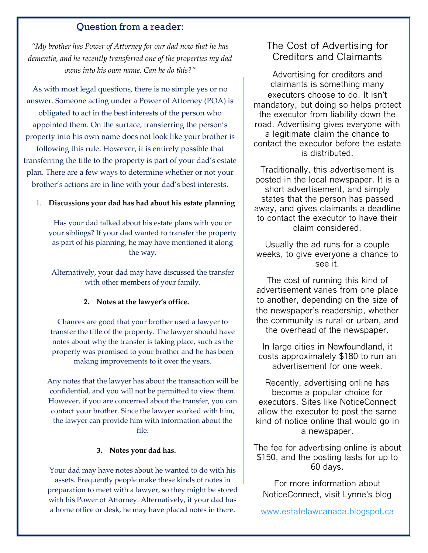#### Question from a reader:

*"My brother has Power of Attorney for our dad now that he has dementia, and he recently transferred one of the properties my dad owns into his own name. Can he do this?"*

As with most legal questions, there is no simple yes or no answer. Someone acting under a Power of Attorney (POA) is obligated to act in the best interests of the person who appointed them. On the surface, transferring the person's property into his own name does not look like your brother is

following this rule. However, it is entirely possible that transferring the title to the property is part of your dad's estate plan. There are a few ways to determine whether or not your brother's actions are in line with your dad's best interests.

#### 1. **Discussions your dad has had about his estate planning**.

Has your dad talked about his estate plans with you or your siblings? If your dad wanted to transfer the property as part of his planning, he may have mentioned it along the way.

Alternatively, your dad may have discussed the transfer with other members of your family.

#### **2. Notes at the lawyer's office.**

Chances are good that your brother used a lawyer to transfer the title of the property. The lawyer should have notes about why the transfer is taking place, such as the property was promised to your brother and he has been making improvements to it over the years.

Any notes that the lawyer has about the transaction will be confidential, and you will not be permitted to view them. However, if you are concerned about the transfer, you can contact your brother. Since the lawyer worked with him, the lawyer can provide him with information about the file.

#### **3. Notes your dad has.**

Your dad may have notes about he wanted to do with his assets. Frequently people make these kinds of notes in preparation to meet with a lawyer, so they might be stored with his Power of Attorney. Alternatively, if your dad has a home office or desk, he may have placed notes in there.

## The Cost of Advertising for Creditors and Claimants

Advertising for creditors and claimants is something many executors choose to do. It isn't mandatory, but doing so helps protect the executor from liability down the road. Advertising gives everyone with a legitimate claim the chance to contact the executor before the estate is distributed.

Traditionally, this advertisement is posted in the local newspaper. It is a short advertisement, and simply states that the person has passed away, and gives claimants a deadline to contact the executor to have their claim considered.

Usually the ad runs for a couple weeks, to give everyone a chance to see it.

The cost of running this kind of advertisement varies from one place to another, depending on the size of the newspaper's readership, whether the community is rural or urban, and the overhead of the newspaper.

In large cities in Newfoundland, it costs approximately \$180 to run an advertisement for one week.

Recently, advertising online has become a popular choice for executors. Sites like NoticeConnect allow the executor to post the same kind of notice online that would go in a newspaper.

The fee for advertising online is about \$150, and the posting lasts for up to 60 days.

For more information about NoticeConnect, visit Lynne's blog

[www.estatelawcanada.blogspot.ca](http://www.estatelawcanada.blogspot.ca/)